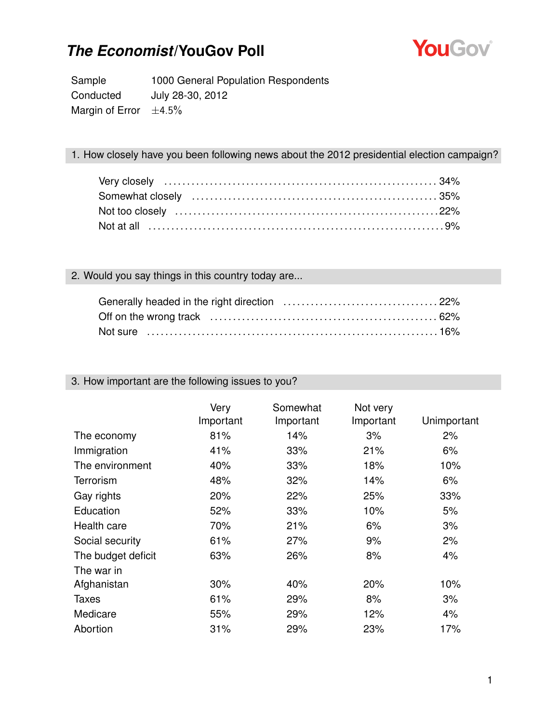

Sample 1000 General Population Respondents Conducted July 28-30, 2012 Margin of Error  $\pm 4.5\%$ 

#### 1. How closely have you been following news about the 2012 presidential election campaign?

### 2. Would you say things in this country today are...

| Not sure …………………………………………………………………16% |  |
|---------------------------------------|--|

#### 3. How important are the following issues to you?

|                    | Very<br>Important | Somewhat<br>Important | Not very<br>Important | Unimportant |
|--------------------|-------------------|-----------------------|-----------------------|-------------|
| The economy        | 81%               | 14%                   | 3%                    | 2%          |
| Immigration        | 41%               | 33%                   | 21%                   | 6%          |
| The environment    | 40%               | 33%                   | 18%                   | 10%         |
| <b>Terrorism</b>   | 48%               | 32%                   | 14%                   | 6%          |
| Gay rights         | $20\%$            | 22%                   | 25%                   | 33%         |
| Education          | 52%               | 33%                   | 10%                   | 5%          |
| Health care        | 70%               | 21%                   | 6%                    | 3%          |
| Social security    | 61%               | 27%                   | 9%                    | 2%          |
| The budget deficit | 63%               | 26%                   | 8%                    | 4%          |
| The war in         |                   |                       |                       |             |
| Afghanistan        | 30%               | 40%                   | 20%                   | 10%         |
| <b>Taxes</b>       | 61%               | 29%                   | 8%                    | 3%          |
| Medicare           | 55%               | 29%                   | 12%                   | 4%          |
| Abortion           | 31%               | 29%                   | 23%                   | 17%         |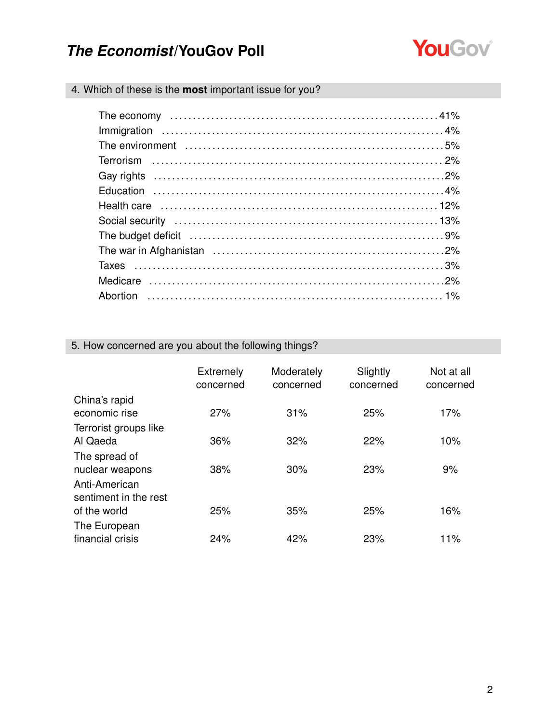

### 4. Which of these is the **most** important issue for you?

| The budget deficit (and according to the budget deficit (and according to the budget deficit (and according to the budget of $9\%$ |  |
|------------------------------------------------------------------------------------------------------------------------------------|--|
|                                                                                                                                    |  |
|                                                                                                                                    |  |
|                                                                                                                                    |  |
|                                                                                                                                    |  |

### 5. How concerned are you about the following things?

|                                                   | <b>Extremely</b><br>concerned | Moderately<br>concerned | Slightly<br>concerned | Not at all<br>concerned |
|---------------------------------------------------|-------------------------------|-------------------------|-----------------------|-------------------------|
| China's rapid<br>economic rise                    | 27%                           | 31%                     | 25%                   | 17%                     |
| Terrorist groups like<br>Al Qaeda                 | 36%                           | 32%                     | 22%                   | 10%                     |
| The spread of<br>nuclear weapons<br>Anti-American | 38%                           | 30%                     | 23%                   | 9%                      |
| sentiment in the rest<br>of the world             | 25%                           | 35%                     | 25%                   | 16%                     |
| The European<br>financial crisis                  | 24%                           | 42%                     | 23%                   | 11%                     |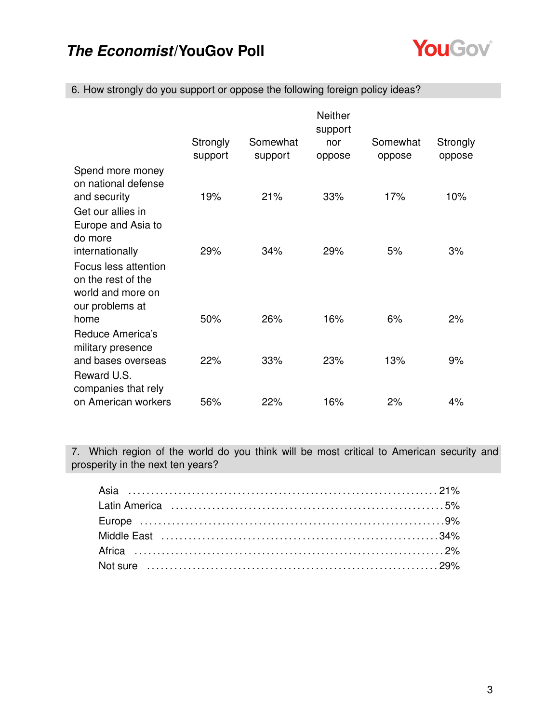

|                                                                                    |                     |                     | <b>Neither</b><br>support |                    |                    |
|------------------------------------------------------------------------------------|---------------------|---------------------|---------------------------|--------------------|--------------------|
|                                                                                    | Strongly<br>support | Somewhat<br>support | nor<br>oppose             | Somewhat<br>oppose | Strongly<br>oppose |
| Spend more money<br>on national defense                                            |                     |                     |                           |                    |                    |
| and security                                                                       | 19%                 | 21%                 | 33%                       | 17%                | 10%                |
| Get our allies in<br>Europe and Asia to<br>do more                                 |                     |                     |                           |                    |                    |
| internationally                                                                    | 29%                 | 34%                 | 29%                       | 5%                 | 3%                 |
| Focus less attention<br>on the rest of the<br>world and more on<br>our problems at |                     |                     |                           |                    |                    |
| home                                                                               | 50%                 | 26%                 | 16%                       | 6%                 | 2%                 |
| Reduce America's<br>military presence                                              |                     |                     |                           |                    |                    |
| and bases overseas<br>Reward U.S.                                                  | 22%                 | 33%                 | 23%                       | 13%                | 9%                 |
| companies that rely<br>on American workers                                         | 56%                 | 22%                 | 16%                       | 2%                 | 4%                 |

6. How strongly do you support or oppose the following foreign policy ideas?

7. Which region of the world do you think will be most critical to American security and prosperity in the next ten years?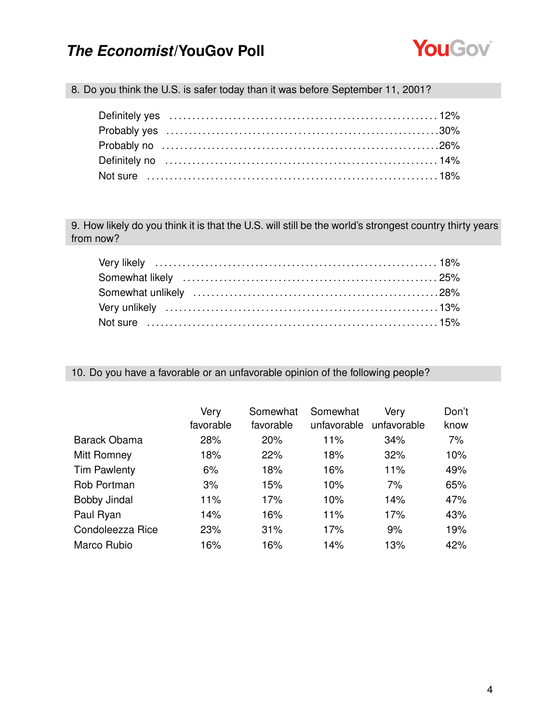

8. Do you think the U.S. is safer today than it was before September 11, 2001?

9. How likely do you think it is that the U.S. will still be the world's strongest country thirty years from now?

10. Do you have a favorable or an unfavorable opinion of the following people?

|                     | Very<br>favorable | Somewhat<br>favorable | Somewhat<br>unfavorable | Very<br>unfavorable | Don't<br>know |
|---------------------|-------------------|-----------------------|-------------------------|---------------------|---------------|
| Barack Obama        | 28%               | 20%                   | 11%                     | 34%                 | 7%            |
| Mitt Romney         | 18%               | 22%                   | 18%                     | 32%                 | 10%           |
| <b>Tim Pawlenty</b> | 6%                | 18%                   | 16%                     | 11%                 | 49%           |
| Rob Portman         | 3%                | 15%                   | 10%                     | 7%                  | 65%           |
| <b>Bobby Jindal</b> | 11%               | 17%                   | 10%                     | 14%                 | 47%           |
| Paul Ryan           | 14%               | 16%                   | 11%                     | 17%                 | 43%           |
| Condoleezza Rice    | 23%               | 31%                   | 17%                     | 9%                  | 19%           |
| Marco Rubio         | 16%               | 16%                   | 14%                     | 13%                 | 42%           |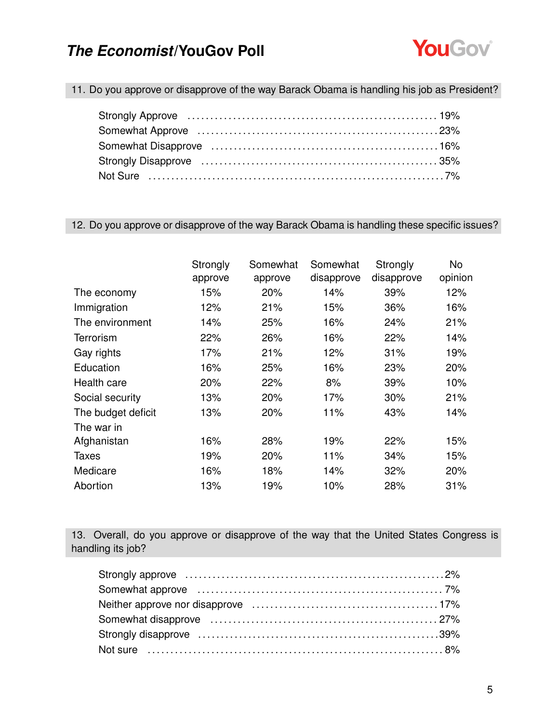

11. Do you approve or disapprove of the way Barack Obama is handling his job as President?

#### 12. Do you approve or disapprove of the way Barack Obama is handling these specific issues?

|                    | Strongly<br>approve | Somewhat<br>approve | Somewhat<br>disapprove | Strongly<br>disapprove | No.<br>opinion |
|--------------------|---------------------|---------------------|------------------------|------------------------|----------------|
|                    |                     |                     |                        |                        |                |
| The economy        | 15%                 | 20%                 | 14%                    | 39%                    | 12%            |
| Immigration        | 12%                 | 21%                 | 15%                    | 36%                    | 16%            |
| The environment    | 14%                 | 25%                 | 16%                    | 24%                    | 21%            |
| <b>Terrorism</b>   | 22%                 | 26%                 | 16%                    | 22%                    | 14%            |
| Gay rights         | 17%                 | 21%                 | 12%                    | 31%                    | 19%            |
| Education          | 16%                 | 25%                 | 16%                    | 23%                    | 20%            |
| Health care        | 20%                 | 22%                 | 8%                     | 39%                    | 10%            |
| Social security    | 13%                 | 20%                 | 17%                    | 30%                    | 21%            |
| The budget deficit | 13%                 | 20%                 | 11%                    | 43%                    | 14%            |
| The war in         |                     |                     |                        |                        |                |
| Afghanistan        | 16%                 | 28%                 | 19%                    | 22%                    | 15%            |
| Taxes              | 19%                 | 20%                 | 11%                    | 34%                    | 15%            |
| Medicare           | 16%                 | 18%                 | 14%                    | 32%                    | 20%            |
| Abortion           | 13%                 | 19%                 | 10%                    | 28%                    | 31%            |

13. Overall, do you approve or disapprove of the way that the United States Congress is handling its job?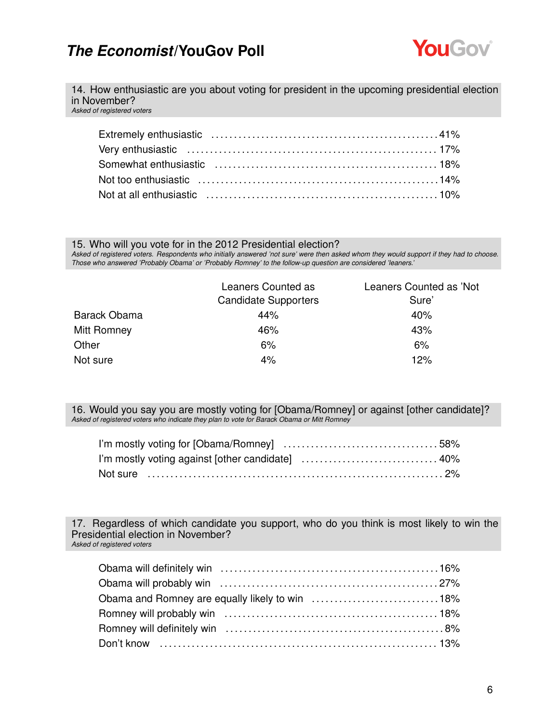

14. How enthusiastic are you about voting for president in the upcoming presidential election in November?

*Asked of registered voters*

15. Who will you vote for in the 2012 Presidential election?

*Asked of registered voters. Respondents who initially answered 'not sure' were then asked whom they would support if they had to choose. Those who answered 'Probably Obama' or 'Probably Romney' to the follow-up question are considered 'leaners.'*

|              | Leaners Counted as<br><b>Candidate Supporters</b> | Leaners Counted as 'Not<br>Sure' |
|--------------|---------------------------------------------------|----------------------------------|
| Barack Obama | 44%                                               | 40%                              |
| Mitt Romney  | 46%                                               | 43%                              |
| Other        | 6%                                                | 6%                               |
| Not sure     | 4%                                                | 12%                              |

16. Would you say you are mostly voting for [Obama/Romney] or against [other candidate]? *Asked of registered voters who indicate they plan to vote for Barack Obama or Mitt Romney*

17. Regardless of which candidate you support, who do you think is most likely to win the Presidential election in November? *Asked of registered voters*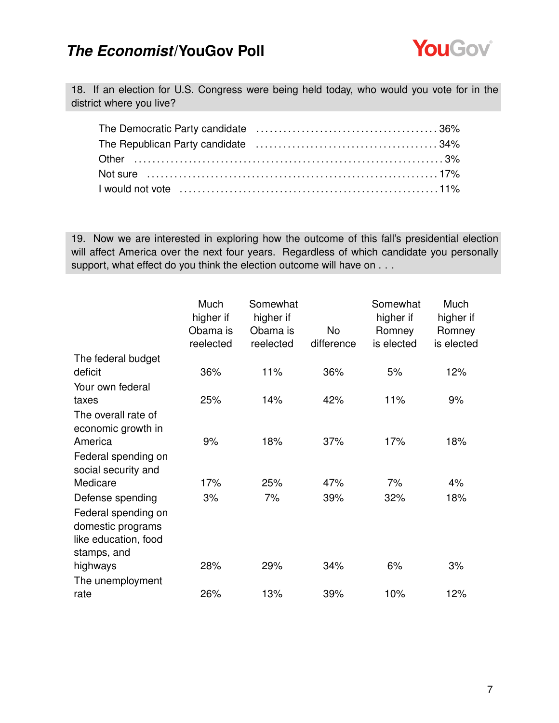

18. If an election for U.S. Congress were being held today, who would you vote for in the district where you live?

19. Now we are interested in exploring how the outcome of this fall's presidential election will affect America over the next four years. Regardless of which candidate you personally support, what effect do you think the election outcome will have on . . .

|                                                                                 | Much<br>higher if<br>Obama is<br>reelected | Somewhat<br>higher if<br>Obama is<br>reelected | No.<br>difference | Somewhat<br>higher if<br>Romney<br>is elected | Much<br>higher if<br>Romney<br>is elected |
|---------------------------------------------------------------------------------|--------------------------------------------|------------------------------------------------|-------------------|-----------------------------------------------|-------------------------------------------|
| The federal budget                                                              |                                            |                                                |                   |                                               |                                           |
| deficit                                                                         | 36%                                        | 11%                                            | 36%               | 5%                                            | 12%                                       |
| Your own federal                                                                |                                            |                                                |                   |                                               |                                           |
| taxes                                                                           | 25%                                        | 14%                                            | 42%               | 11%                                           | 9%                                        |
| The overall rate of<br>economic growth in<br>America                            | 9%                                         | 18%                                            | 37%               | 17%                                           | 18%                                       |
| Federal spending on<br>social security and                                      |                                            |                                                |                   |                                               |                                           |
| Medicare                                                                        | 17%                                        | 25%                                            | 47%               | 7%                                            | 4%                                        |
| Defense spending                                                                | 3%                                         | 7%                                             | 39%               | 32%                                           | 18%                                       |
| Federal spending on<br>domestic programs<br>like education, food<br>stamps, and |                                            |                                                |                   |                                               |                                           |
| highways                                                                        | 28%                                        | 29%                                            | 34%               | 6%                                            | 3%                                        |
| The unemployment                                                                |                                            |                                                |                   |                                               |                                           |
| rate                                                                            | 26%                                        | 13%                                            | 39%               | 10%                                           | 12%                                       |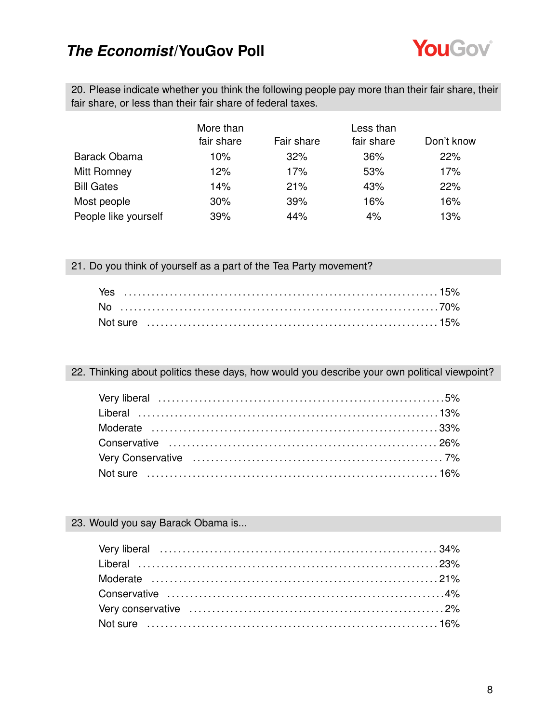

20. Please indicate whether you think the following people pay more than their fair share, their fair share, or less than their fair share of federal taxes.

|                      | More than  |            | Less than  |            |  |
|----------------------|------------|------------|------------|------------|--|
|                      | fair share | Fair share | fair share | Don't know |  |
| <b>Barack Obama</b>  | 10%        | 32%        | 36%        | 22%        |  |
| Mitt Romney          | 12%        | 17%        | 53%        | 17%        |  |
| <b>Bill Gates</b>    | 14%        | 21%        | 43%        | 22%        |  |
| Most people          | 30%        | 39%        | 16%        | 16%        |  |
| People like yourself | 39%        | 44%        | 4%         | 13%        |  |

21. Do you think of yourself as a part of the Tea Party movement?

22. Thinking about politics these days, how would you describe your own political viewpoint?

### 23. Would you say Barack Obama is...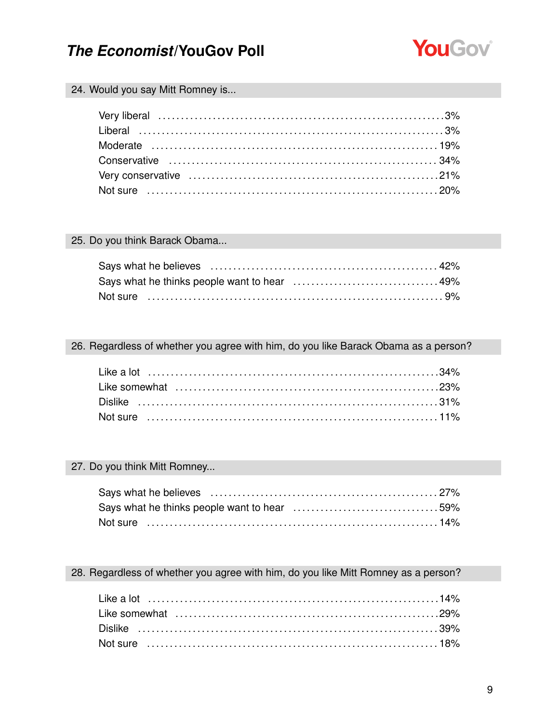

#### 24. Would you say Mitt Romney is...

#### 25. Do you think Barack Obama...

#### 26. Regardless of whether you agree with him, do you like Barack Obama as a person?

#### 27. Do you think Mitt Romney...

| Says what he thinks people want to hear 59% |  |
|---------------------------------------------|--|
| Not sure …………………………………………………………………14%       |  |

#### 28. Regardless of whether you agree with him, do you like Mitt Romney as a person?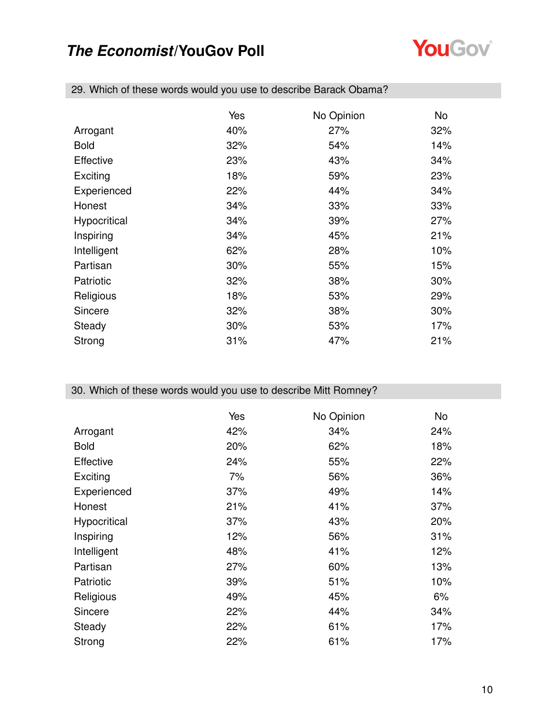

|                  | Yes | No Opinion | No  |
|------------------|-----|------------|-----|
| Arrogant         | 40% | 27%        | 32% |
| <b>Bold</b>      | 32% | 54%        | 14% |
| <b>Effective</b> | 23% | 43%        | 34% |
| Exciting         | 18% | 59%        | 23% |
| Experienced      | 22% | 44%        | 34% |
| Honest           | 34% | 33%        | 33% |
| Hypocritical     | 34% | 39%        | 27% |
| Inspiring        | 34% | 45%        | 21% |
| Intelligent      | 62% | 28%        | 10% |
| Partisan         | 30% | 55%        | 15% |
| Patriotic        | 32% | 38%        | 30% |
| Religious        | 18% | 53%        | 29% |
| Sincere          | 32% | 38%        | 30% |
| Steady           | 30% | 53%        | 17% |
| Strong           | 31% | 47%        | 21% |

29. Which of these words would you use to describe Barack Obama?

### 30. Which of these words would you use to describe Mitt Romney?

|              | Yes | No Opinion | No  |
|--------------|-----|------------|-----|
| Arrogant     | 42% | 34%        | 24% |
| <b>Bold</b>  | 20% | 62%        | 18% |
| Effective    | 24% | 55%        | 22% |
| Exciting     | 7%  | 56%        | 36% |
| Experienced  | 37% | 49%        | 14% |
| Honest       | 21% | 41%        | 37% |
| Hypocritical | 37% | 43%        | 20% |
| Inspiring    | 12% | 56%        | 31% |
| Intelligent  | 48% | 41%        | 12% |
| Partisan     | 27% | 60%        | 13% |
| Patriotic    | 39% | 51%        | 10% |
| Religious    | 49% | 45%        | 6%  |
| Sincere      | 22% | 44%        | 34% |
| Steady       | 22% | 61%        | 17% |
| Strong       | 22% | 61%        | 17% |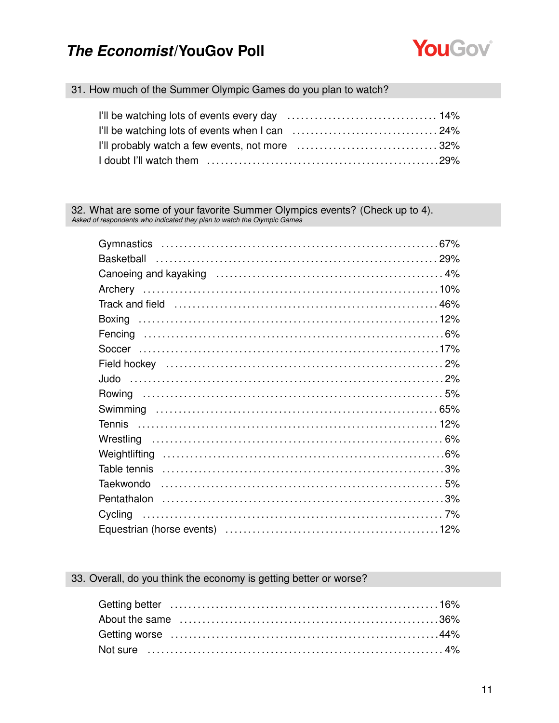

#### 31. How much of the Summer Olympic Games do you plan to watch?

| I'll probably watch a few events, not more 32% |  |
|------------------------------------------------|--|
|                                                |  |

32. What are some of your favorite Summer Olympics events? (Check up to 4). Asked of respondents who indicated they plan to watch the Olympic Games

33. Overall, do you think the economy is getting better or worse?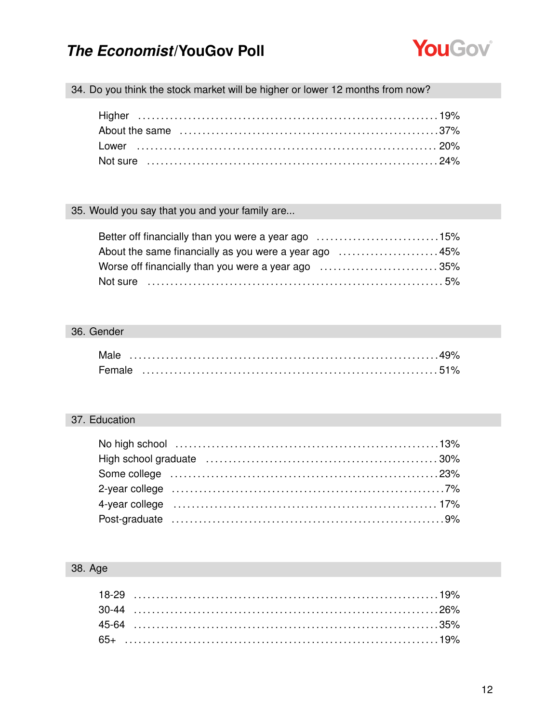

34. Do you think the stock market will be higher or lower 12 months from now?

### 35. Would you say that you and your family are...

| Better off financially than you were a year ago 15%   |  |
|-------------------------------------------------------|--|
| About the same financially as you were a year ago 45% |  |
| Worse off financially than you were a year ago 35%    |  |
|                                                       |  |

#### 36. Gender

| Male   |  |  |  |  |  |  |  |  |  |  |  |  |  |  |  |  |
|--------|--|--|--|--|--|--|--|--|--|--|--|--|--|--|--|--|
| Female |  |  |  |  |  |  |  |  |  |  |  |  |  |  |  |  |

### 37. Education

| Some college (and according to the collection of the collection of the collection of the collection of the col  |  |
|-----------------------------------------------------------------------------------------------------------------|--|
| 2-year college (all contains and all collections are collected as $7\%$                                         |  |
| 4-year college (also continued according to the contract of the college of the continued according to the set o |  |
|                                                                                                                 |  |

### 38. Age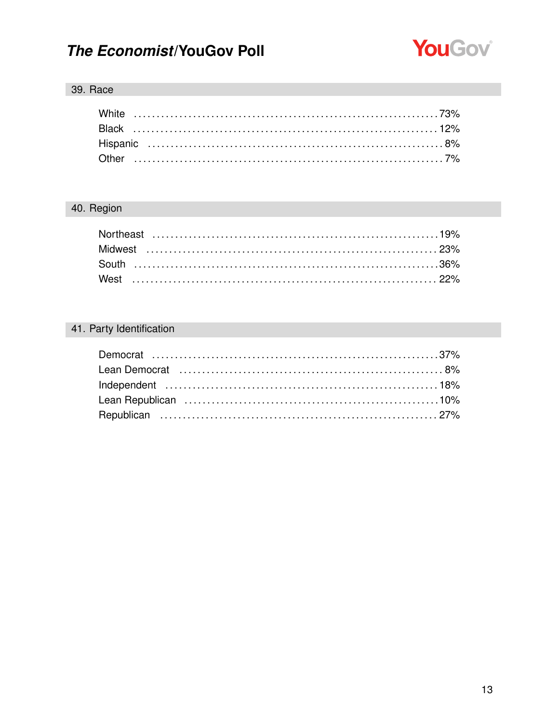

### 39. Race

### 40. Region

### 41. Party Identification